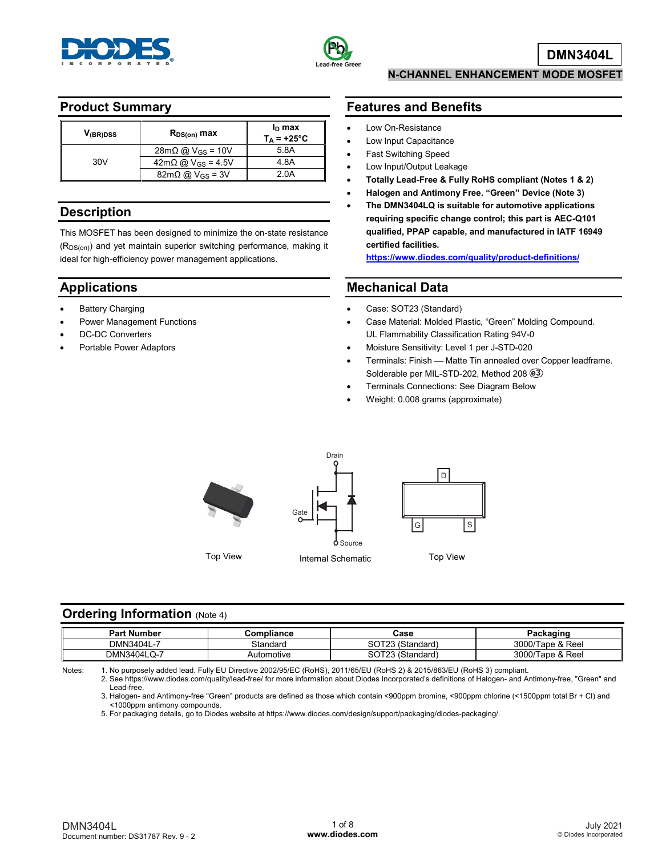



### **Product Summary**

| V <sub>(BR)DSS</sub> | $R_{DS(on)}$ max                     | $ID$ max<br>$T_A = +25^{\circ}C$ |
|----------------------|--------------------------------------|----------------------------------|
|                      | $28m\Omega$ @ V <sub>GS</sub> = 10V  | 5.8A                             |
| 30V                  | $42m\Omega$ @ V <sub>GS</sub> = 4.5V | 4.8A                             |
|                      | $82m\Omega$ @ V <sub>GS</sub> = 3V   | 2.0A                             |

### **Description**

This MOSFET has been designed to minimize the on-state resistance (R<sub>DS(on)</sub>) and yet maintain superior switching performance, making it ideal for high-efficiency power management applications.

## **Applications**

- **Battery Charging**
- Power Management Functions
- DC-DC Converters
- Portable Power Adaptors

### **N-CHANNEL ENHANCEMENT MODE MOSFET**

## **Features and Benefits**

- Low On-Resistance
- Low Input Capacitance
- Fast Switching Speed
- Low Input/Output Leakage
- **Totally Lead-Free & Fully RoHS compliant (Notes 1 & 2)**
- **Halogen and Antimony Free. "Green" Device (Note 3)**
- **The DMN3404LQ is suitable for automotive applications requiring specific change control; this part is AEC-Q101 qualified, PPAP capable, and manufactured in IATF 16949 certified facilities.**

**<https://www.diodes.com/quality/product-definitions/>**

### **Mechanical Data**

- Case: SOT23 (Standard)
- Case Material: Molded Plastic, "Green" Molding Compound. UL Flammability Classification Rating 94V-0
- Moisture Sensitivity: Level 1 per J-STD-020
- Terminals: Finish Matte Tin annealed over Copper leadframe. Solderable per MIL-STD-202, Method 208 **e3**
- Terminals Connections: See Diagram Below
- Weight: 0.008 grams (approximate)



### **Ordering Information (Note 4)**

| Part<br>l Number | Compliance | Case                                     | aekoging a<br>acraull<br> |
|------------------|------------|------------------------------------------|---------------------------|
| DMN3404L-7       | Standard   | $\sim$ $\sim$ $\sim$<br>(Standard)<br>ov | 3000/Tape & Reel          |
| DMN3404LQ-       | Automotive | <b>COTOO</b><br>(Standard)<br>5U         | 3000/Tape & Reel          |

Notes: 1. No purposely added lead. Fully EU Directive 2002/95/EC (RoHS), 2011/65/EU (RoHS 2) & 2015/863/EU (RoHS 3) compliant.

2. See https://www.diodes.com/quality/lead-free/ for more information about Diodes Incorporated's definitions of Halogen- and Antimony-free, "Green" and Lead-free.

3. Halogen- and Antimony-free "Green" products are defined as those which contain <900ppm bromine, <900ppm chlorine (<1500ppm total Br + Cl) and <1000ppm antimony compounds.

5. For packaging details, go to Diodes website at https://www.diodes.com/design/support/packaging/diodes-packaging/.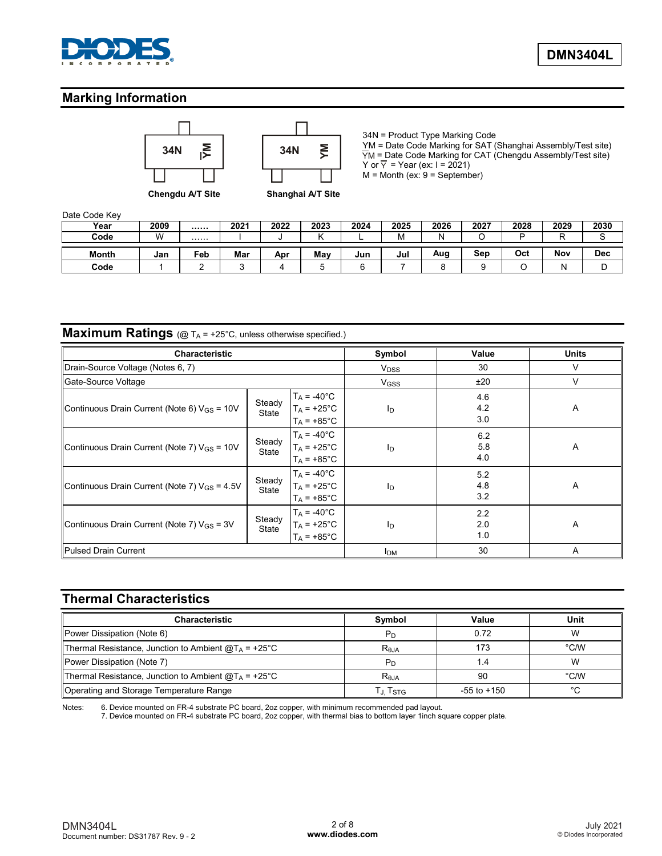

## **Marking Information**





34N = Product Type Marking Code YM = Date Code Marking for SAT (Shanghai Assembly/Test site) YM = Date Code Marking for CAT (Chengdu Assembly/Test site) Y or  $\overline{Y}$  = Year (ex: I = 2021)  $M =$  Month (ex:  $9 =$  September)

**Chengdu A/T Site Shanghai A/T Site**

Date Code Key

| Year         | 2009 |     | 2021 | 2022 | 2023 | 2024 | 2025              | 2026 | 2027 | 2028 | 2029 | 2030       |
|--------------|------|-----|------|------|------|------|-------------------|------|------|------|------|------------|
| Code         | W    | .   |      |      |      |      | M <i>M</i><br>ιvι |      |      | −    | −    |            |
|              |      |     |      |      |      |      |                   |      |      |      |      |            |
| <b>Month</b> | Jan  | Feb | Mar  | Apr  | Mav  | Jun  | Jul               | Aug  | Sep  | Oct  | Nov  | <b>Dec</b> |

# **Maximum Ratings** (@ T<sub>A</sub> = +25°C, unless otherwise specified.)

| <b>Characteristic</b>                                    |                 | Symbol                                                         | Value                  | <b>Units</b>      |        |
|----------------------------------------------------------|-----------------|----------------------------------------------------------------|------------------------|-------------------|--------|
| Drain-Source Voltage (Notes 6, 7)                        |                 |                                                                | <b>V<sub>DSS</sub></b> | 30                | V      |
| Gate-Source Voltage                                      |                 |                                                                | <b>V<sub>GSS</sub></b> | ±20               | $\vee$ |
| Continuous Drain Current (Note 6) $V_{GS}$ = 10V         | Steady<br>State | $T_A = -40^{\circ}C$<br>$T_A$ = +25°C<br>$T_A$ = +85°C         | I <sub>D</sub>         | 4.6<br>4.2<br>3.0 | A      |
| Continuous Drain Current (Note 7) V <sub>GS</sub> = 10V  | Steady<br>State | $T_A = -40^{\circ}C$<br>$T_A = +25$ °C<br>$T_A = +85^{\circ}C$ | $I_{\text{D}}$         | 6.2<br>5.8<br>4.0 | Α      |
| Continuous Drain Current (Note 7) V <sub>GS</sub> = 4.5V | Steady<br>State | $T_A = -40^{\circ}C$<br>$T_A$ = +25°C<br>$T_A$ = +85°C         | ID                     | 5.2<br>4.8<br>3.2 | A      |
| Continuous Drain Current (Note 7) V <sub>GS</sub> = 3V   | Steady<br>State | $T_A = -40^{\circ}C$<br>$T_A$ = +25°C<br>$T_A = +85^{\circ}C$  | I <sub>D</sub>         | 2.2<br>2.0<br>1.0 | A      |
| <b>Pulsed Drain Current</b>                              |                 |                                                                | Iрм                    | 30                | A      |

# **Thermal Characteristics**

| <b>Characteristic</b>                                        | Symbol               | Value           | Unit          |
|--------------------------------------------------------------|----------------------|-----------------|---------------|
| Power Dissipation (Note 6)                                   | $P_D$                | 0.72            | W             |
| Thermal Resistance, Junction to Ambient $@T_A = +25°C$       | $R_{\theta$ JA       | 173             | $\degree$ C/W |
| Power Dissipation (Note 7)                                   | $P_D$                | 1.4             | W             |
| Thermal Resistance, Junction to Ambient $@T_A = +25^\circ C$ | Reja                 | 90              | $\degree$ C/W |
| Operating and Storage Temperature Range                      | TJ, T <sub>STG</sub> | $-55$ to $+150$ | °C            |

Notes: 6. Device mounted on FR-4 substrate PC board, 2oz copper, with minimum recommended pad layout.

7. Device mounted on FR-4 substrate PC board, 2oz copper, with thermal bias to bottom layer 1inch square copper plate.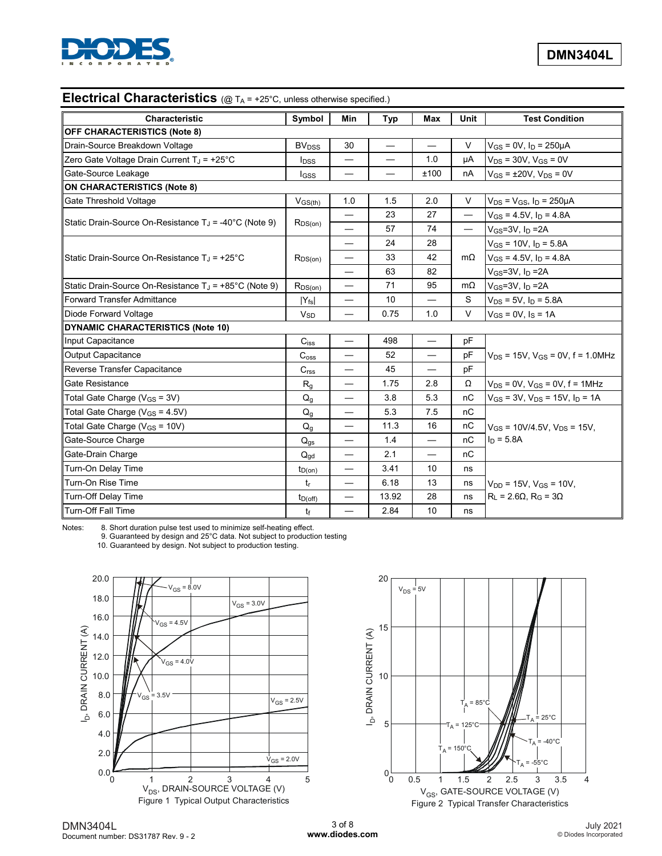

# **Electrical Characteristics** (@ TA = +25°C, unless otherwise specified.)

| Characteristic                                                  | Symbol                  | Min                               | Typ                      | Max                      | <b>Unit</b>              | <b>Test Condition</b>                     |  |
|-----------------------------------------------------------------|-------------------------|-----------------------------------|--------------------------|--------------------------|--------------------------|-------------------------------------------|--|
| <b>OFF CHARACTERISTICS (Note 8)</b>                             |                         |                                   |                          |                          |                          |                                           |  |
| Drain-Source Breakdown Voltage                                  | <b>BV<sub>DSS</sub></b> | 30                                |                          | $\overline{\phantom{0}}$ | V                        | $V_{GS} = 0V$ , $I_D = 250 \mu A$         |  |
| Zero Gate Voltage Drain Current TJ = +25°C                      | <b>I</b> <sub>DSS</sub> |                                   |                          | 1.0                      | uA                       | $V_{DS}$ = 30V, $V_{GS}$ = 0V             |  |
| Gate-Source Leakage                                             | <b>I</b> GSS            | $\overline{\phantom{0}}$          | $\overline{\phantom{0}}$ | ±100                     | nA                       | $V_{GS} = \pm 20V$ , $V_{DS} = 0V$        |  |
| <b>ON CHARACTERISTICS (Note 8)</b>                              |                         |                                   |                          |                          |                          |                                           |  |
| Gate Threshold Voltage                                          | $V$ <sub>GS(th)</sub>   | 1.0                               | 1.5                      | 2.0                      | V                        | $V_{DS}$ = $V_{GS}$ , $I_D$ = 250 $\mu$ A |  |
|                                                                 |                         |                                   | 23                       | 27                       |                          | $V_{GS} = 4.5V$ , $I_D = 4.8A$            |  |
| Static Drain-Source On-Resistance $T_J = -40^{\circ}C$ (Note 9) | $R_{DS(on)}$            |                                   | 57                       | 74                       | $\overline{\phantom{0}}$ | $V_{GS}$ =3V, $I_D$ =2A                   |  |
|                                                                 |                         | $\overline{\phantom{0}}$          | 24                       | 28                       |                          | $V_{GS}$ = 10V, $I_D$ = 5.8A              |  |
| Static Drain-Source On-Resistance $T_J = +25^{\circ}C$          | $R_{DS(on)}$            | —                                 | 33                       | 42                       | $m\Omega$                | $V_{GS} = 4.5V$ , $I_D = 4.8A$            |  |
|                                                                 |                         | —                                 | 63                       | 82                       |                          | $V_{GS}$ =3V, I <sub>D</sub> =2A          |  |
| Static Drain-Source On-Resistance $T_J$ = +85°C (Note 9)        | $R_{DS(on)}$            | —                                 | 71                       | 95                       | $m\Omega$                | $V_{GS}$ =3V, $I_D$ =2A                   |  |
| <b>Forward Transfer Admittance</b>                              | $ Y_{fs} $              | —                                 | 10                       | —                        | S                        | $V_{DS}$ = 5V, $I_D$ = 5.8A               |  |
| Diode Forward Voltage                                           | $V_{SD}$                |                                   | 0.75                     | 1.0                      | V                        | $V_{GS} = 0V$ , $I_S = 1A$                |  |
| <b>DYNAMIC CHARACTERISTICS (Note 10)</b>                        |                         |                                   |                          |                          |                          |                                           |  |
| Input Capacitance                                               | $C$ <sub>iss</sub>      | $\overline{\phantom{0}}$          | 498                      |                          | pF                       |                                           |  |
| Output Capacitance                                              | $C_{\text{oss}}$        |                                   | 52                       | $\overline{\phantom{0}}$ | pF                       | $V_{DS}$ = 15V, $V_{GS}$ = 0V, f = 1.0MHz |  |
| Reverse Transfer Capacitance                                    | C <sub>rss</sub>        |                                   | 45                       |                          | pF                       |                                           |  |
| Gate Resistance                                                 | $R_{q}$                 | $\overbrace{\phantom{123221111}}$ | 1.75                     | 2.8                      | Ω                        | $V_{DS}$ = 0V, $V_{GS}$ = 0V, f = 1MHz    |  |
| Total Gate Charge ( $V_{GS}$ = 3V)                              | $Q_q$                   | —                                 | 3.8                      | 5.3                      | nC                       | $V_{GS}$ = 3V, $V_{DS}$ = 15V, $I_D$ = 1A |  |
| Total Gate Charge ( $V_{GS}$ = 4.5V)                            | Q <sub>g</sub>          | $\overline{\phantom{0}}$          | 5.3                      | 7.5                      | nC                       |                                           |  |
| Total Gate Charge (V <sub>GS</sub> = 10V)                       | Q <sub>g</sub>          | $\overline{\phantom{0}}$          | 11.3                     | 16                       | nC                       | $V_{GS}$ = 10V/4.5V, $V_{DS}$ = 15V,      |  |
| Gate-Source Charge                                              | $Q_{gs}$                | —                                 | 1.4                      | $\overline{\phantom{0}}$ | nC                       | $I_D = 5.8A$                              |  |
| Gate-Drain Charge                                               | $Q_{gd}$                | $\overline{\phantom{0}}$          | 2.1                      | $\overline{\phantom{0}}$ | nC                       |                                           |  |
| Turn-On Delay Time                                              | $t_{D(on)}$             |                                   | 3.41                     | 10                       | ns                       |                                           |  |
| Turn-On Rise Time                                               | $t_{\rm r}$             | $\overline{\phantom{0}}$          | 6.18                     | 13                       | ns                       | $V_{DD}$ = 15V, $V_{GS}$ = 10V,           |  |
| Turn-Off Delay Time                                             | $t_{D(off)}$            |                                   | 13.92                    | 28                       | ns                       | $R_1 = 2.6\Omega$ , $R_G = 3\Omega$       |  |
| <b>Turn-Off Fall Time</b>                                       | $t_{\rm f}$             | $\overline{\phantom{0}}$          | 2.84                     | 10                       | ns                       |                                           |  |

Notes: 8. Short duration pulse test used to minimize self-heating effect.

9. Guaranteed by design and 25°C data. Not subject to production testing

10. Guaranteed by design. Not subject to production testing.



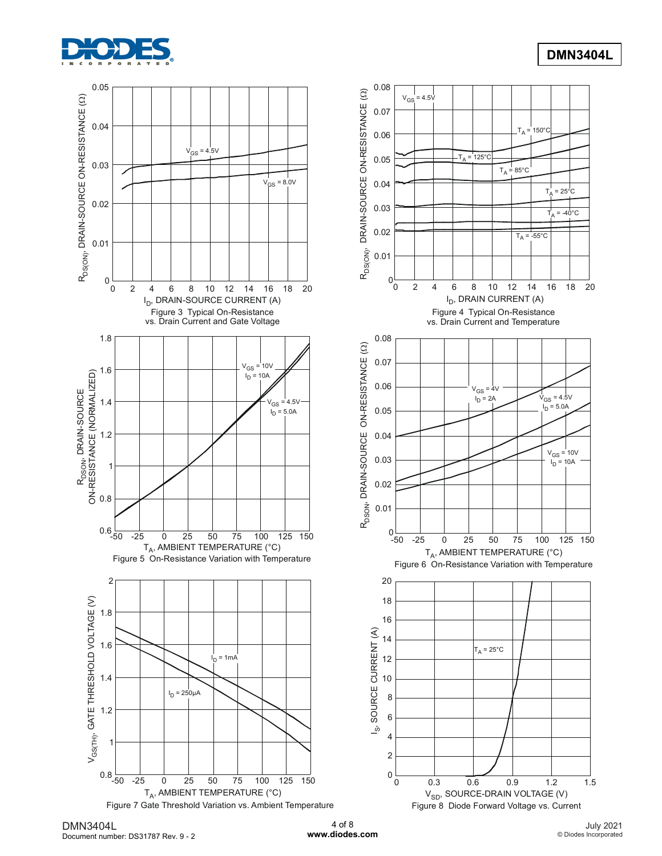

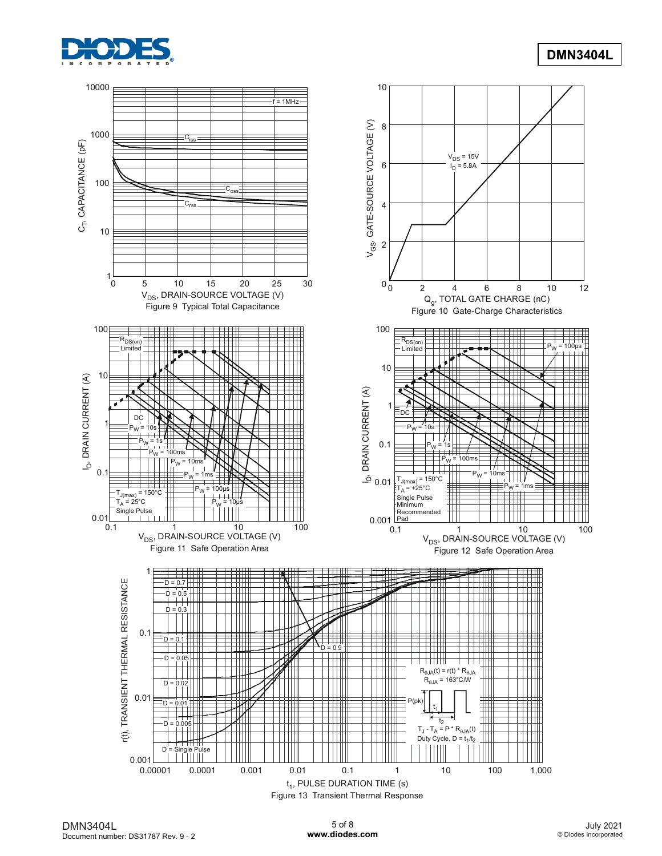

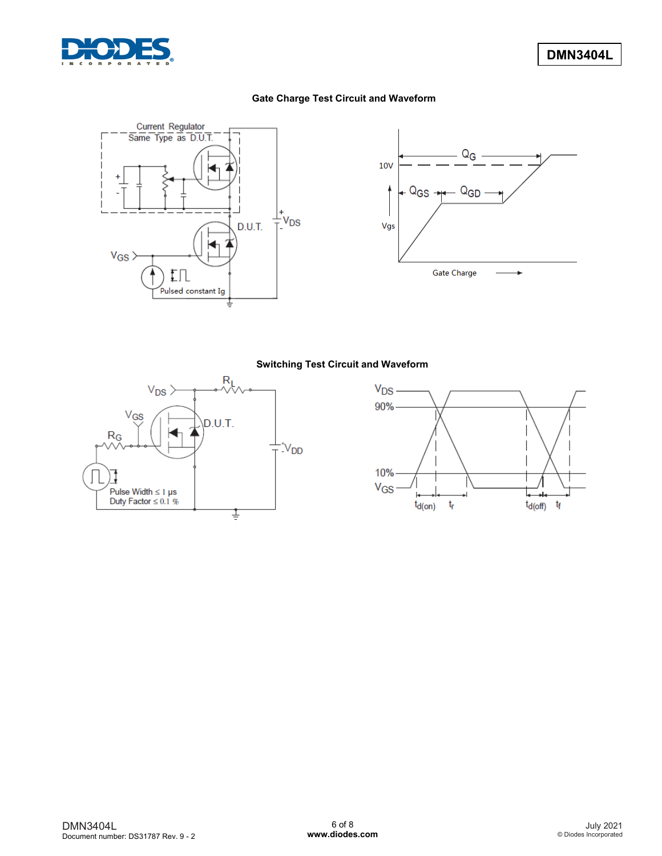

### **Gate Charge Test Circuit and Waveform**





#### **Switching Test Circuit and Waveform**



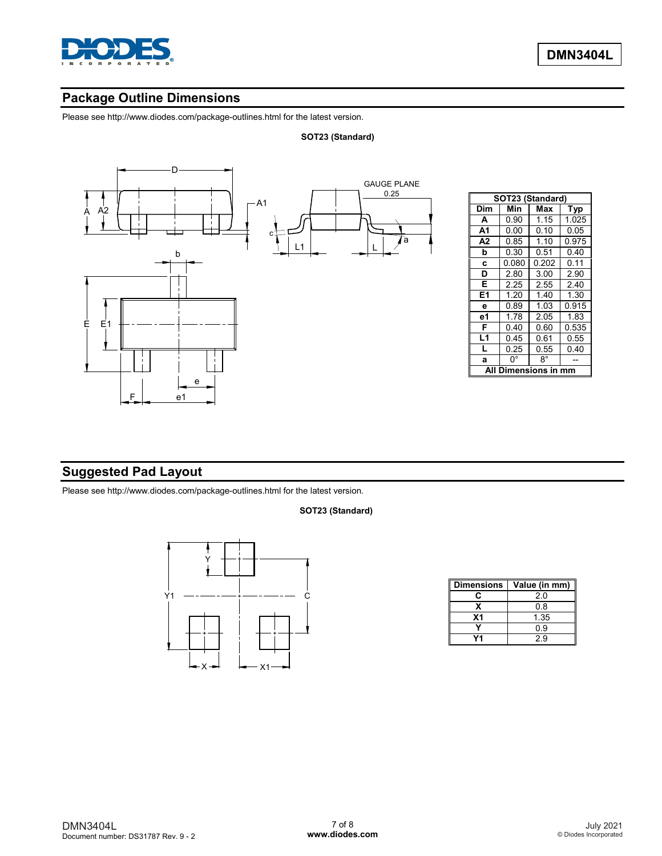

# **Package Outline Dimensions**

Please see http://www.diodes.com/package-outlines.html for the latest version.

#### **SOT23 (Standard)**



| SOT23 (Standard)   |       |       |       |  |  |  |  |  |
|--------------------|-------|-------|-------|--|--|--|--|--|
| Dim                | Min   | Max   | Typ   |  |  |  |  |  |
| A                  | 0.90  | 1.15  | 1.025 |  |  |  |  |  |
| A1                 | 0.00  | 0.10  | 0.05  |  |  |  |  |  |
| А2                 | 0.85  | 1.10  | 0.975 |  |  |  |  |  |
| b                  | 0.30  | 0.51  | 0.40  |  |  |  |  |  |
| C                  | 0.080 | 0.202 | 0.11  |  |  |  |  |  |
| D                  | 2.80  | 3.00  | 2.90  |  |  |  |  |  |
| E                  | 2.25  | 2.55  | 2.40  |  |  |  |  |  |
| E1                 | 1.20  | 1.40  | 1.30  |  |  |  |  |  |
| e                  | 0.89  | 1.03  | 0.915 |  |  |  |  |  |
| е1                 | 1.78  | 2.05  | 1.83  |  |  |  |  |  |
| F                  | 0.40  | 0.60  | 0.535 |  |  |  |  |  |
| L1                 | 0.45  | 0.61  | 0.55  |  |  |  |  |  |
| L                  | 0.25  | 0.55  | 0.40  |  |  |  |  |  |
| a                  | 0°    | 8°    |       |  |  |  |  |  |
| Dimensions in<br>A |       |       |       |  |  |  |  |  |

## **Suggested Pad Layout**

Please see http://www.diodes.com/package-outlines.html for the latest version.

#### **SOT23 (Standard)**



| <b>Dimensions</b> | Value (in mm) |
|-------------------|---------------|
| r.                | 20            |
|                   | 0.8           |
| X <sub>1</sub>    | 1.35          |
|                   | ი 9           |
|                   | 29            |